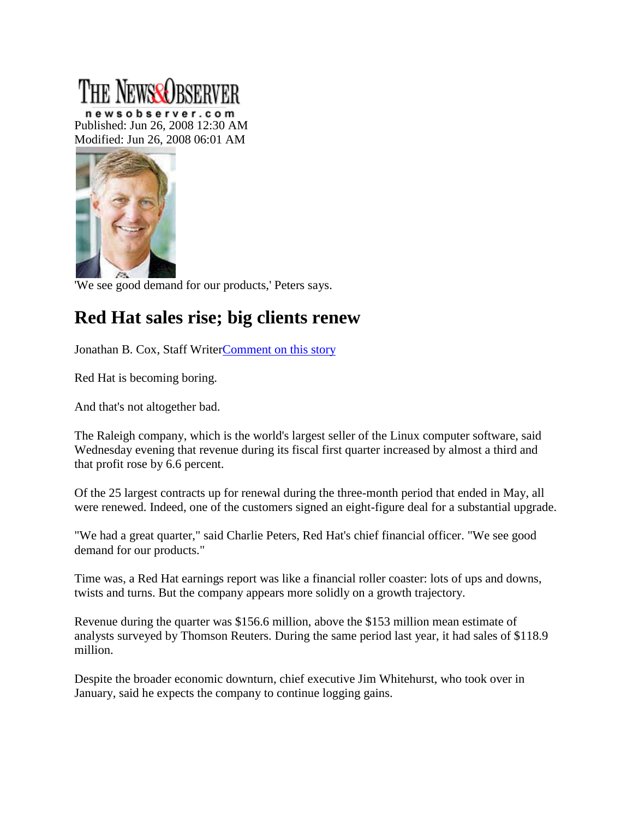## The NewseQrse

newsobserver.com Published: Jun 26, 2008 12:30 AM Modified: Jun 26, 2008 06:01 AM



'We see good demand for our products,' Peters says.

## **Red Hat sales rise; big clients renew**

Jonathan B. Cox, Staff Write[rComment on this story](http://www.newsobserver.com/business/technology/v-print/story/1120636.html#MI_Comments_Link)

Red Hat is becoming boring.

And that's not altogether bad.

The Raleigh company, which is the world's largest seller of the Linux computer software, said Wednesday evening that revenue during its fiscal first quarter increased by almost a third and that profit rose by 6.6 percent.

Of the 25 largest contracts up for renewal during the three-month period that ended in May, all were renewed. Indeed, one of the customers signed an eight-figure deal for a substantial upgrade.

"We had a great quarter," said Charlie Peters, Red Hat's chief financial officer. "We see good demand for our products."

Time was, a Red Hat earnings report was like a financial roller coaster: lots of ups and downs, twists and turns. But the company appears more solidly on a growth trajectory.

Revenue during the quarter was \$156.6 million, above the \$153 million mean estimate of analysts surveyed by Thomson Reuters. During the same period last year, it had sales of \$118.9 million.

Despite the broader economic downturn, chief executive Jim Whitehurst, who took over in January, said he expects the company to continue logging gains.